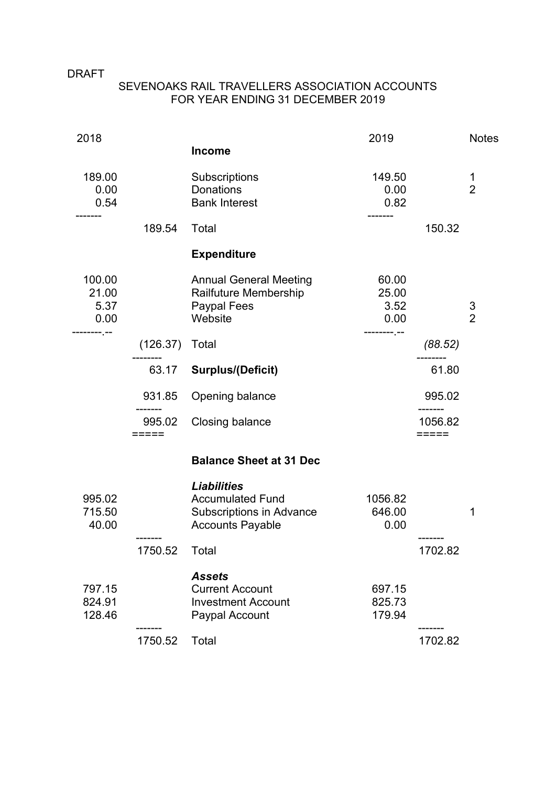## DRAFT

## SEVENOAKS RAIL TRAVELLERS ASSOCIATION ACCOUNTS FOR YEAR ENDING 31 DECEMBER 2019

| 2018                            |                 |                                                                                                             | 2019                           |                  | <b>Notes</b>        |
|---------------------------------|-----------------|-------------------------------------------------------------------------------------------------------------|--------------------------------|------------------|---------------------|
|                                 |                 | <b>Income</b>                                                                                               |                                |                  |                     |
| 189.00<br>0.00                  |                 | Subscriptions<br><b>Donations</b>                                                                           | 149.50<br>0.00                 |                  | 1<br>$\overline{2}$ |
| 0.54                            |                 | <b>Bank Interest</b>                                                                                        | 0.82                           |                  |                     |
|                                 | 189.54          | Total                                                                                                       |                                | 150.32           |                     |
|                                 |                 | <b>Expenditure</b>                                                                                          |                                |                  |                     |
| 100.00<br>21.00<br>5.37<br>0.00 |                 | <b>Annual General Meeting</b><br>Railfuture Membership<br>Paypal Fees<br>Website                            | 60.00<br>25.00<br>3.52<br>0.00 |                  | 3<br>$\overline{2}$ |
|                                 | (126.37)        | Total                                                                                                       |                                | (88.52)          |                     |
|                                 | 63.17           | <b>Surplus/(Deficit)</b>                                                                                    |                                | 61.80            |                     |
|                                 | 931.85          | Opening balance                                                                                             |                                | 995.02           |                     |
|                                 | 995.02<br>===== | Closing balance                                                                                             |                                | 1056.82<br>===== |                     |
|                                 |                 | <b>Balance Sheet at 31 Dec</b>                                                                              |                                |                  |                     |
| 995.02<br>715.50<br>40.00       |                 | <b>Liabilities</b><br><b>Accumulated Fund</b><br><b>Subscriptions in Advance</b><br><b>Accounts Payable</b> | 1056.82<br>646.00<br>0.00      |                  | 1                   |
|                                 | 1750.52         | Total                                                                                                       |                                | 1702.82          |                     |
| 797.15<br>824.91<br>128.46      |                 | <b>Assets</b><br><b>Current Account</b><br><b>Investment Account</b><br>Paypal Account                      | 697.15<br>825.73<br>179.94     |                  |                     |
|                                 | 1750.52         | Total                                                                                                       |                                | 1702.82          |                     |
|                                 |                 |                                                                                                             |                                |                  |                     |